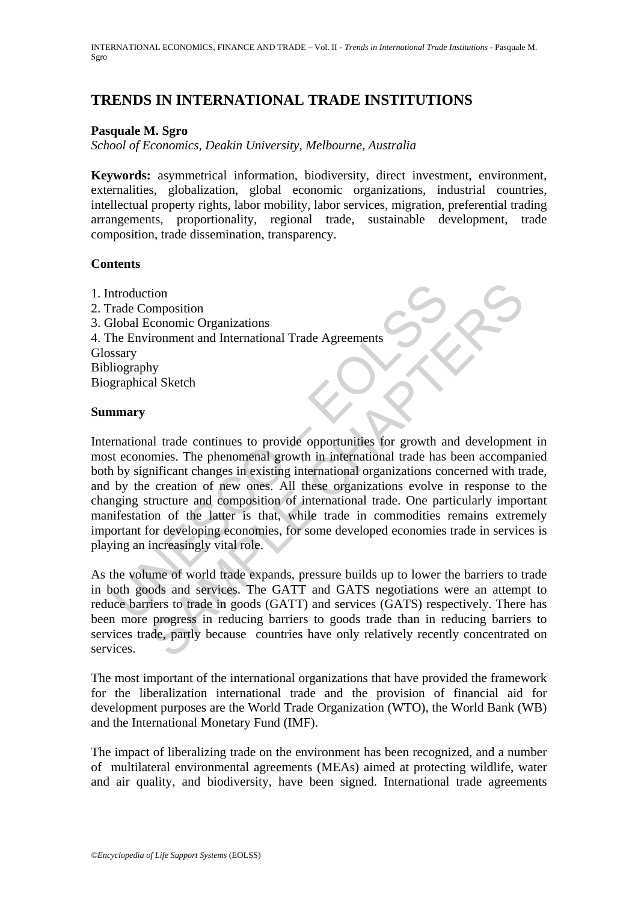# **TRENDS IN INTERNATIONAL TRADE INSTITUTIONS**

## **Pasquale M. Sgro**

*School of Economics, Deakin University, Melbourne, Australia* 

**Keywords:** asymmetrical information, biodiversity, direct investment, environment, externalities, globalization, global economic organizations, industrial countries, intellectual property rights, labor mobility, labor services, migration, preferential trading arrangements, proportionality, regional trade, sustainable development, trade composition, trade dissemination, transparency.

## **Contents**

1. Introduction 2. Trade Composition 3. Global Economic Organizations 4. The Environment and International Trade Agreements Glossary Bibliography Biographical Sketch

#### **Summary**

Introduction<br>
Trade Composition<br>
Ilobal Economic Organizations<br>
Ilography<br>
Ilography<br>
Ilography<br>
Imary<br>
Imary<br>
Imary<br>
Imary<br>
Imary<br>
Imary<br>
Imary<br>
Imary<br>
Imary<br>
Imary<br>
Imary<br>
Imary<br>
Imary<br>
Imary<br>
Imary<br>
Imary<br>
Imary<br>
Imary<br> tion<br>
ion<br>
ionomic Organizations<br>
ironomic Corganizations<br>
informed and International Trade Agreements<br>
All Sketch<br>
all trade continues to provide opportunities for growth and developme<br>
all trade continues and composition International trade continues to provide opportunities for growth and development in most economies. The phenomenal growth in international trade has been accompanied both by significant changes in existing international organizations concerned with trade, and by the creation of new ones. All these organizations evolve in response to the changing structure and composition of international trade. One particularly important manifestation of the latter is that, while trade in commodities remains extremely important for developing economies, for some developed economies trade in services is playing an increasingly vital role.

As the volume of world trade expands, pressure builds up to lower the barriers to trade in both goods and services. The GATT and GATS negotiations were an attempt to reduce barriers to trade in goods (GATT) and services (GATS) respectively. There has been more progress in reducing barriers to goods trade than in reducing barriers to services trade, partly because countries have only relatively recently concentrated on services.

The most important of the international organizations that have provided the framework for the liberalization international trade and the provision of financial aid for development purposes are the World Trade Organization (WTO), the World Bank (WB) and the International Monetary Fund (IMF).

The impact of liberalizing trade on the environment has been recognized, and a number of multilateral environmental agreements (MEAs) aimed at protecting wildlife, water and air quality, and biodiversity, have been signed. International trade agreements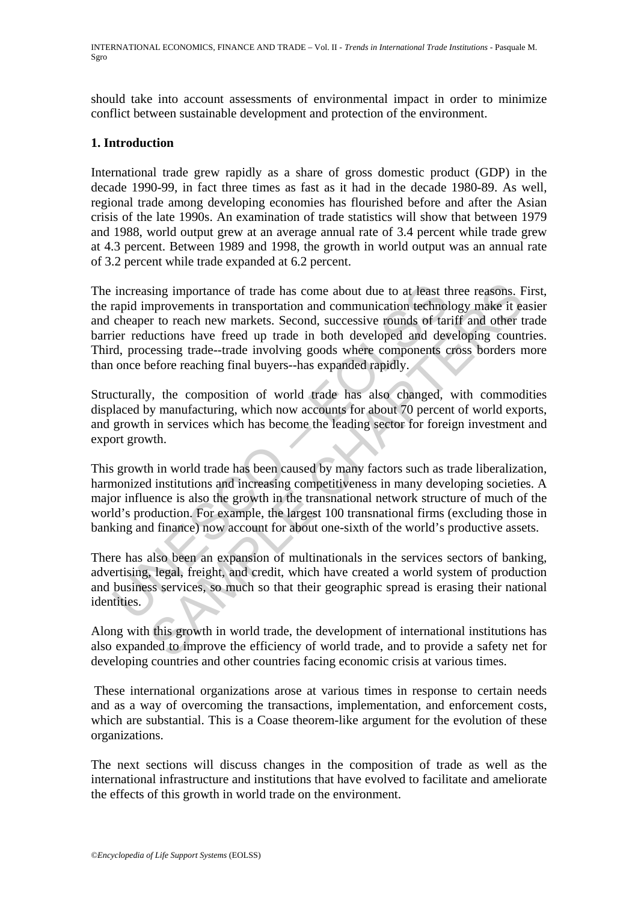should take into account assessments of environmental impact in order to minimize conflict between sustainable development and protection of the environment.

## **1. Introduction**

International trade grew rapidly as a share of gross domestic product (GDP) in the decade 1990-99, in fact three times as fast as it had in the decade 1980-89. As well, regional trade among developing economies has flourished before and after the Asian crisis of the late 1990s. An examination of trade statistics will show that between 1979 and 1988, world output grew at an average annual rate of 3.4 percent while trade grew at 4.3 percent. Between 1989 and 1998, the growth in world output was an annual rate of 3.2 percent while trade expanded at 6.2 percent.

increasing importance of trade has come about due to at least the<br>rapid improvements in transportation and communication technol<br>cheaper to reach new markets. Second, successive rounds of tar<br>ier reductions have freed up t sing importance of trade has come about due to at least three reasons. Furprovements in transportation and communication technology make it est to reach new markets. Second, successive rounds of rarif and other to reach un The increasing importance of trade has come about due to at least three reasons. First, the rapid improvements in transportation and communication technology make it easier and cheaper to reach new markets. Second, successive rounds of tariff and other trade barrier reductions have freed up trade in both developed and developing countries. Third, processing trade--trade involving goods where components cross borders more than once before reaching final buyers--has expanded rapidly.

Structurally, the composition of world trade has also changed, with commodities displaced by manufacturing, which now accounts for about 70 percent of world exports, and growth in services which has become the leading sector for foreign investment and export growth.

This growth in world trade has been caused by many factors such as trade liberalization, harmonized institutions and increasing competitiveness in many developing societies. A major influence is also the growth in the transnational network structure of much of the world's production. For example, the largest 100 transnational firms (excluding those in banking and finance) now account for about one-sixth of the world's productive assets.

There has also been an expansion of multinationals in the services sectors of banking, advertising, legal, freight, and credit, which have created a world system of production and business services, so much so that their geographic spread is erasing their national identities.

Along with this growth in world trade, the development of international institutions has also expanded to improve the efficiency of world trade, and to provide a safety net for developing countries and other countries facing economic crisis at various times.

 These international organizations arose at various times in response to certain needs and as a way of overcoming the transactions, implementation, and enforcement costs, which are substantial. This is a Coase theorem-like argument for the evolution of these organizations.

The next sections will discuss changes in the composition of trade as well as the international infrastructure and institutions that have evolved to facilitate and ameliorate the effects of this growth in world trade on the environment.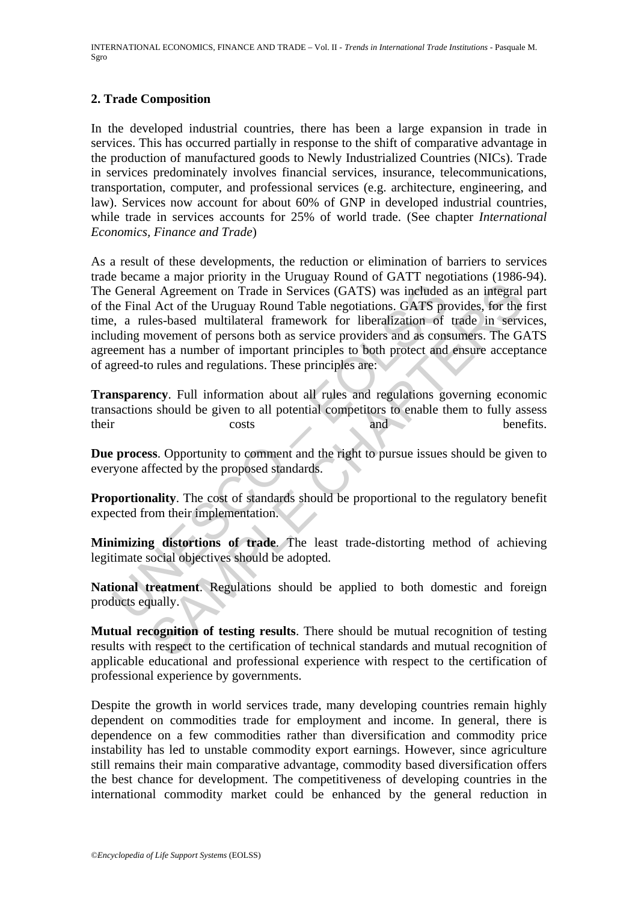INTERNATIONAL ECONOMICS, FINANCE AND TRADE – Vol. II - *Trends in International Trade Institutions* - Pasquale M. Sgro

#### **2. Trade Composition**

In the developed industrial countries, there has been a large expansion in trade in services. This has occurred partially in response to the shift of comparative advantage in the production of manufactured goods to Newly Industrialized Countries (NICs). Trade in services predominately involves financial services, insurance, telecommunications, transportation, computer, and professional services (e.g. architecture, engineering, and law). Services now account for about 60% of GNP in developed industrial countries, while trade in services accounts for 25% of world trade. (See chapter *International Economics, Finance and Trade*)

General Agreement on Trade in Services (GATS) was included<br>the Final Act of the Uruguay Round Table negotiations. GATS pre-<br>the Final Act of the Uruguay Round Table negotiations. GATS pre-<br>the remembrance of inportant prin and Agreement on Trade in Services (GATS) was included as an integral<br>al Agreement on Trade in Services (GATS) was included as an integral<br>al Act of the Uruguay Round Table negotiations. GATS provides, for the<br>lels-based m As a result of these developments, the reduction or elimination of barriers to services trade became a major priority in the Uruguay Round of GATT negotiations (1986-94). The General Agreement on Trade in Services (GATS) was included as an integral part of the Final Act of the Uruguay Round Table negotiations. GATS provides, for the first time, a rules-based multilateral framework for liberalization of trade in services, including movement of persons both as service providers and as consumers. The GATS agreement has a number of important principles to both protect and ensure acceptance of agreed-to rules and regulations. These principles are:

**Transparency**. Full information about all rules and regulations governing economic transactions should be given to all potential competitors to enable them to fully assess their costs and benefits.

**Due process**. Opportunity to comment and the right to pursue issues should be given to everyone affected by the proposed standards.

**Proportionality**. The cost of standards should be proportional to the regulatory benefit expected from their implementation.

**Minimizing distortions of trade**. The least trade-distorting method of achieving legitimate social objectives should be adopted.

**National treatment**. Regulations should be applied to both domestic and foreign products equally.

**Mutual recognition of testing results**. There should be mutual recognition of testing results with respect to the certification of technical standards and mutual recognition of applicable educational and professional experience with respect to the certification of professional experience by governments.

Despite the growth in world services trade, many developing countries remain highly dependent on commodities trade for employment and income. In general, there is dependence on a few commodities rather than diversification and commodity price instability has led to unstable commodity export earnings. However, since agriculture still remains their main comparative advantage, commodity based diversification offers the best chance for development. The competitiveness of developing countries in the international commodity market could be enhanced by the general reduction in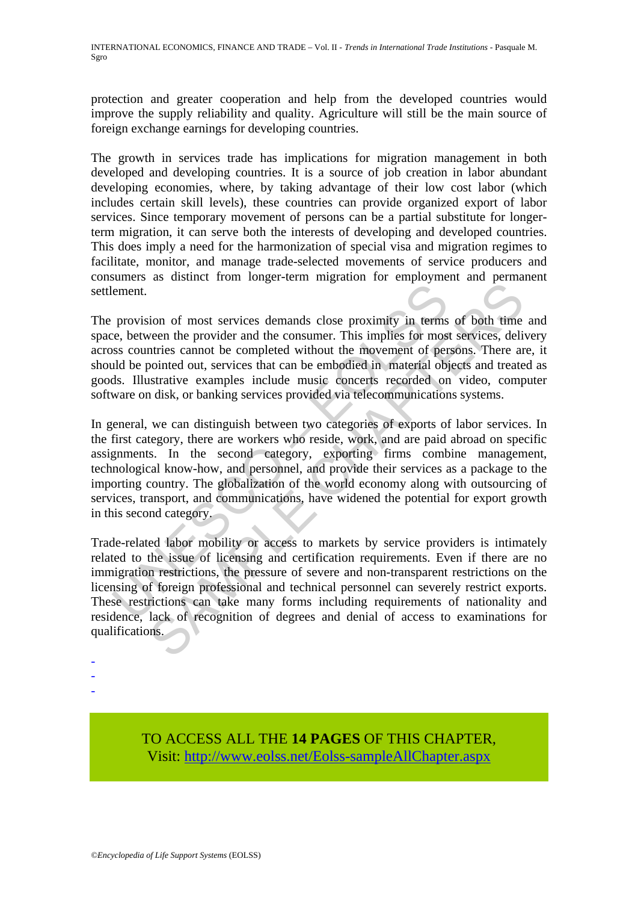protection and greater cooperation and help from the developed countries would improve the supply reliability and quality. Agriculture will still be the main source of foreign exchange earnings for developing countries.

The growth in services trade has implications for migration management in both developed and developing countries. It is a source of job creation in labor abundant developing economies, where, by taking advantage of their low cost labor (which includes certain skill levels), these countries can provide organized export of labor services. Since temporary movement of persons can be a partial substitute for longerterm migration, it can serve both the interests of developing and developed countries. This does imply a need for the harmonization of special visa and migration regimes to facilitate, monitor, and manage trade-selected movements of service producers and consumers as distinct from longer-term migration for employment and permanent settlement.

The provision of most services demands close proximity in terms of both time and space, between the provider and the consumer. This implies for most services, delivery across countries cannot be completed without the movement of persons. There are, it should be pointed out, services that can be embodied in material objects and treated as goods. Illustrative examples include music concerts recorded on video, computer software on disk, or banking services provided via telecommunications systems.

ement.<br>
provision of most services demands close proximity in terms<br>
e.e. between the provider and the consumer. This implies for mos<br>
sess countries cannot be completed without the movement of perms<br>
and the pointed out, The matter of the conduction of the productions of the section of free and the section of the section of most services demands close proximity in terms of both time ween the provider and the consumer. This implies for most In general, we can distinguish between two categories of exports of labor services. In the first category, there are workers who reside, work, and are paid abroad on specific assignments. In the second category, exporting firms combine management, technological know-how, and personnel, and provide their services as a package to the importing country. The globalization of the world economy along with outsourcing of services, transport, and communications, have widened the potential for export growth in this second category.

Trade-related labor mobility or access to markets by service providers is intimately related to the issue of licensing and certification requirements. Even if there are no immigration restrictions, the pressure of severe and non-transparent restrictions on the licensing of foreign professional and technical personnel can severely restrict exports. These restrictions can take many forms including requirements of nationality and residence, lack of recognition of degrees and denial of access to examinations for qualifications.

- -

-

TO ACCESS ALL THE **14 PAGES** OF THIS CHAPTER, Visit[: http://www.eolss.net/Eolss-sampleAllChapter.aspx](https://www.eolss.net/ebooklib/sc_cart.aspx?File=E1-23-05-01)